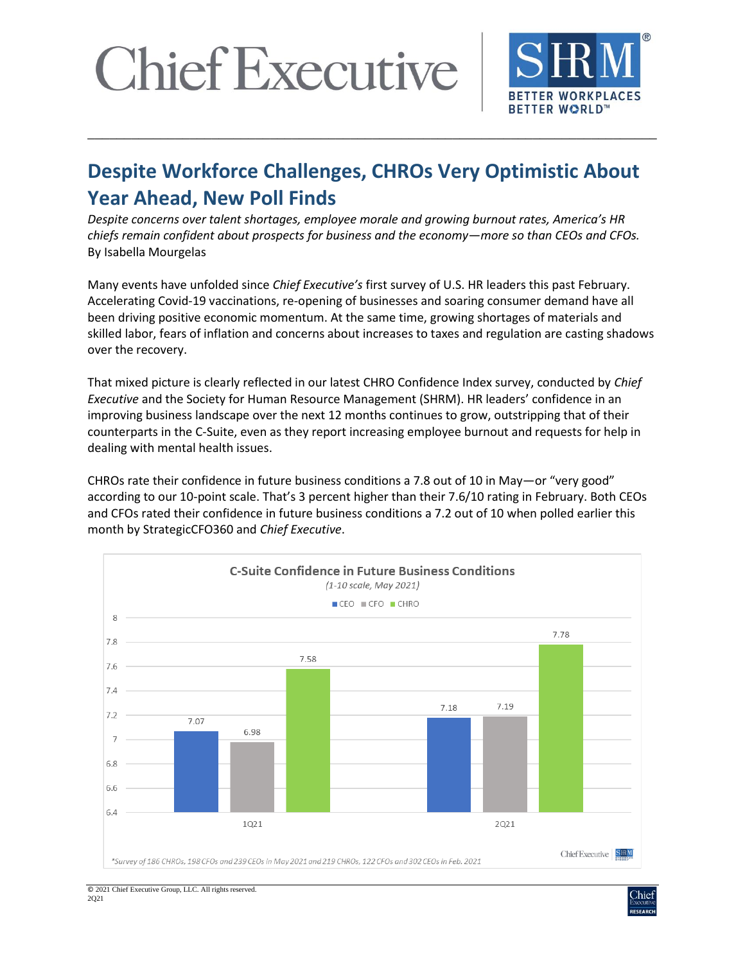

### **Despite Workforce Challenges, CHROs Very Optimistic About Year Ahead, New Poll Finds**

\_\_\_\_\_\_\_\_\_\_\_\_\_\_\_\_\_\_\_\_\_\_\_\_\_\_\_\_\_\_\_\_\_\_\_\_\_\_\_\_\_\_\_\_\_\_\_\_\_\_\_\_\_\_\_\_\_\_\_\_\_\_\_\_\_\_\_\_\_\_\_\_\_\_\_\_\_\_

*Despite concerns over talent shortages, employee morale and growing burnout rates, America's HR chiefs remain confident about prospects for business and the economy—more so than CEOs and CFOs.*  By Isabella Mourgelas

Many events have unfolded since *Chief Executive's* first survey of U.S. HR leaders this past February. Accelerating Covid-19 vaccinations, re-opening of businesses and soaring consumer demand have all been driving positive economic momentum. At the same time, growing shortages of materials and skilled labor, fears of inflation and concerns about increases to taxes and regulation are casting shadows over the recovery.

That mixed picture is clearly reflected in our latest CHRO Confidence Index survey, conducted by *Chief Executive* and the Society for Human Resource Management (SHRM). HR leaders' confidence in an improving business landscape over the next 12 months continues to grow, outstripping that of their counterparts in the C-Suite, even as they report increasing employee burnout and requests for help in dealing with mental health issues.

CHROs rate their confidence in future business conditions a 7.8 out of 10 in May—or "very good" according to our 10-point scale. That's 3 percent higher than their 7.6/10 rating in February. Both CEOs and CFOs rated their confidence in future business conditions a 7.2 out of 10 when polled earlier this month by StrategicCFO360 and *Chief Executive*.



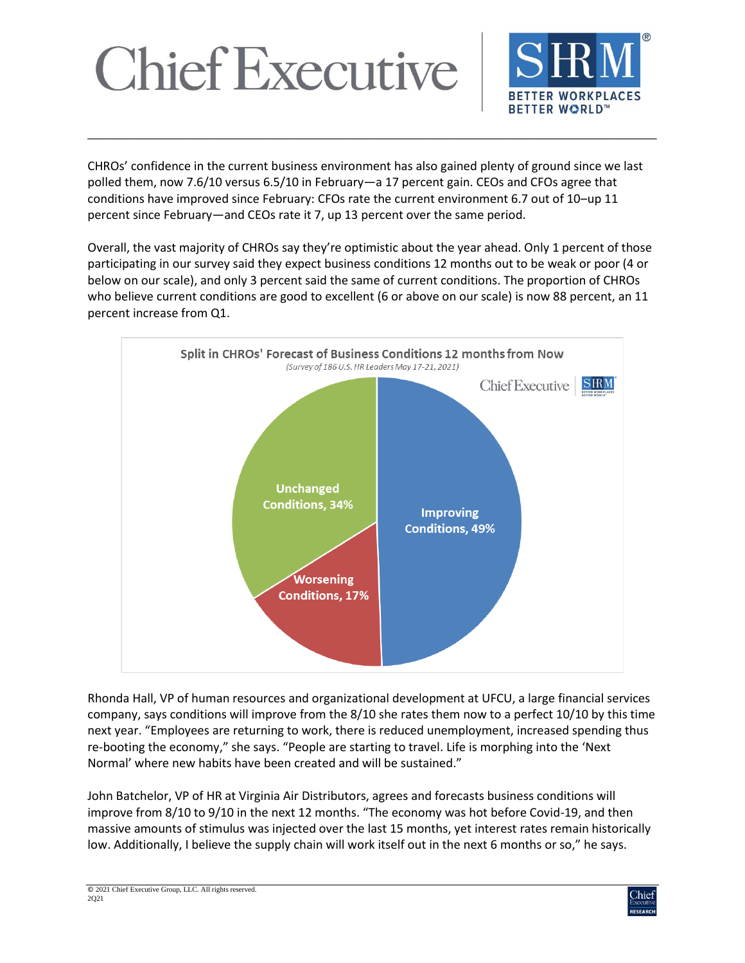

CHROs' confidence in the current business environment has also gained plenty of ground since we last polled them, now 7.6/10 versus 6.5/10 in February—a 17 percent gain. CEOs and CFOs agree that conditions have improved since February: CFOs rate the current environment 6.7 out of 10–up 11 percent since February—and CEOs rate it 7, up 13 percent over the same period.

\_\_\_\_\_\_\_\_\_\_\_\_\_\_\_\_\_\_\_\_\_\_\_\_\_\_\_\_\_\_\_\_\_\_\_\_\_\_\_\_\_\_\_\_\_\_\_\_\_\_\_\_\_\_\_\_\_\_\_\_\_\_\_\_\_\_\_\_\_\_\_\_\_\_\_\_\_\_

Overall, the vast majority of CHROs say they're optimistic about the year ahead. Only 1 percent of those participating in our survey said they expect business conditions 12 months out to be weak or poor (4 or below on our scale), and only 3 percent said the same of current conditions. The proportion of CHROs who believe current conditions are good to excellent (6 or above on our scale) is now 88 percent, an 11 percent increase from Q1.



Rhonda Hall, VP of human resources and organizational development at UFCU, a large financial services company, says conditions will improve from the 8/10 she rates them now to a perfect 10/10 by this time next year. "Employees are returning to work, there is reduced unemployment, increased spending thus re-booting the economy," she says. "People are starting to travel. Life is morphing into the 'Next Normal' where new habits have been created and will be sustained."

John Batchelor, VP of HR at Virginia Air Distributors, agrees and forecasts business conditions will improve from 8/10 to 9/10 in the next 12 months. "The economy was hot before Covid-19, and then massive amounts of stimulus was injected over the last 15 months, yet interest rates remain historically low. Additionally, I believe the supply chain will work itself out in the next 6 months or so," he says.

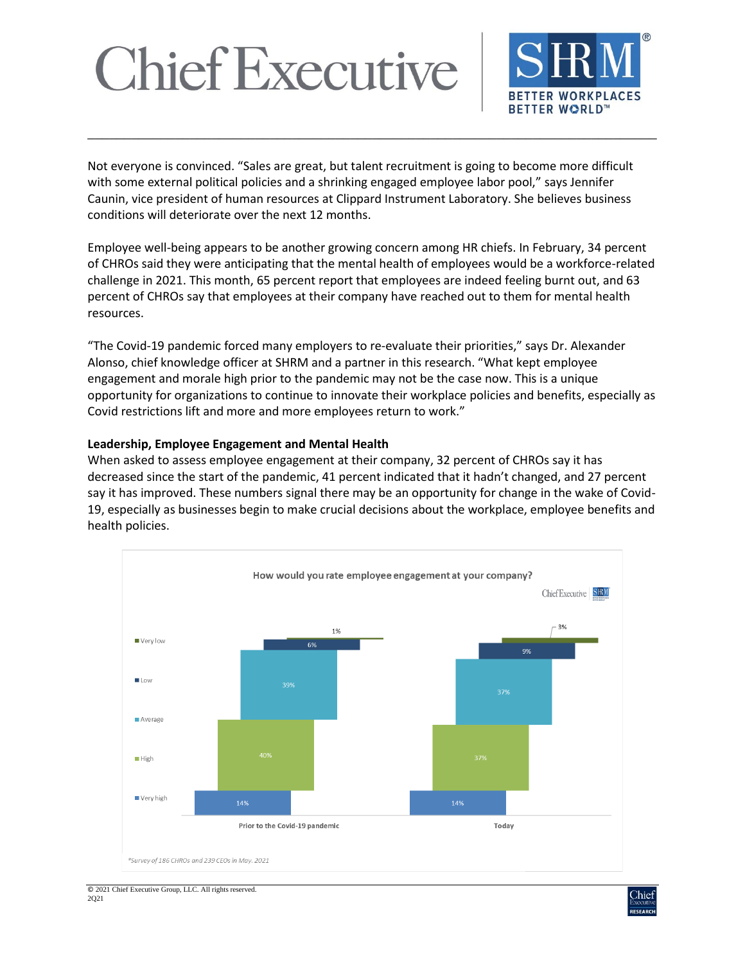

Not everyone is convinced. "Sales are great, but talent recruitment is going to become more difficult with some external political policies and a shrinking engaged employee labor pool," says Jennifer Caunin, vice president of human resources at Clippard Instrument Laboratory. She believes business conditions will deteriorate over the next 12 months.

\_\_\_\_\_\_\_\_\_\_\_\_\_\_\_\_\_\_\_\_\_\_\_\_\_\_\_\_\_\_\_\_\_\_\_\_\_\_\_\_\_\_\_\_\_\_\_\_\_\_\_\_\_\_\_\_\_\_\_\_\_\_\_\_\_\_\_\_\_\_\_\_\_\_\_\_\_\_

Employee well-being appears to be another growing concern among HR chiefs. In February, 34 percent of CHROs said they were anticipating that the mental health of employees would be a workforce-related challenge in 2021. This month, 65 percent report that employees are indeed feeling burnt out, and 63 percent of CHROs say that employees at their company have reached out to them for mental health resources.

"The Covid-19 pandemic forced many employers to re-evaluate their priorities," says Dr. Alexander Alonso, chief knowledge officer at SHRM and a partner in this research. "What kept employee engagement and morale high prior to the pandemic may not be the case now. This is a unique opportunity for organizations to continue to innovate their workplace policies and benefits, especially as Covid restrictions lift and more and more employees return to work."

#### **Leadership, Employee Engagement and Mental Health**

When asked to assess employee engagement at their company, 32 percent of CHROs say it has decreased since the start of the pandemic, 41 percent indicated that it hadn't changed, and 27 percent say it has improved. These numbers signal there may be an opportunity for change in the wake of Covid-19, especially as businesses begin to make crucial decisions about the workplace, employee benefits and health policies.



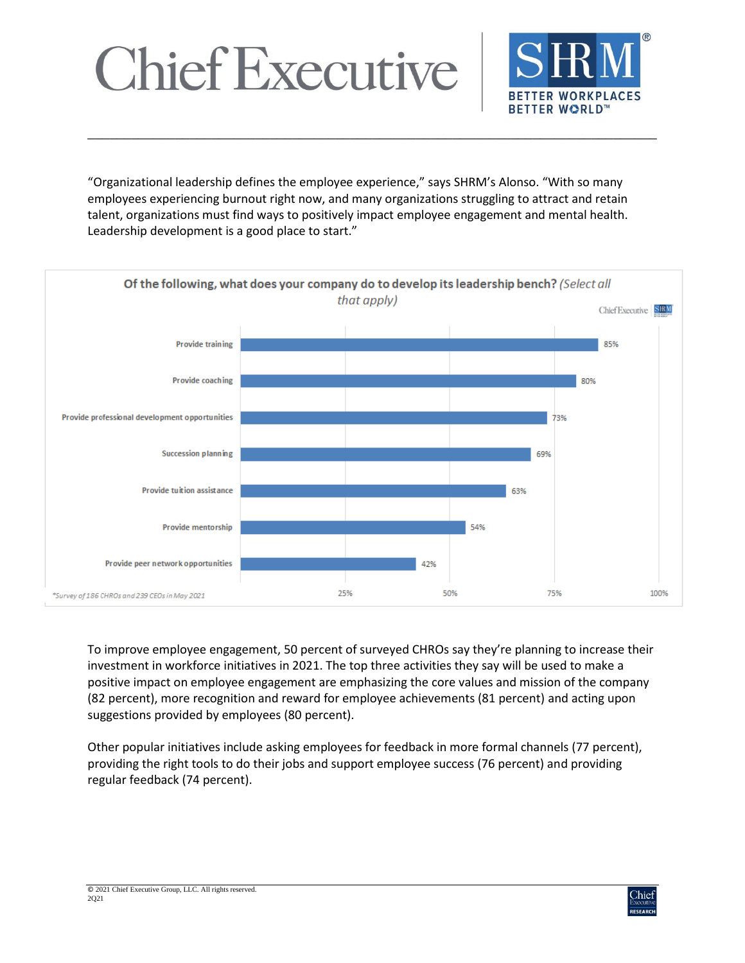



"Organizational leadership defines the employee experience," says SHRM's Alonso. "With so many employees experiencing burnout right now, and many organizations struggling to attract and retain talent, organizations must find ways to positively impact employee engagement and mental health. Leadership development is a good place to start."

\_\_\_\_\_\_\_\_\_\_\_\_\_\_\_\_\_\_\_\_\_\_\_\_\_\_\_\_\_\_\_\_\_\_\_\_\_\_\_\_\_\_\_\_\_\_\_\_\_\_\_\_\_\_\_\_\_\_\_\_\_\_\_\_\_\_\_\_\_\_\_\_\_\_\_\_\_\_



To improve employee engagement, 50 percent of surveyed CHROs say they're planning to increase their investment in workforce initiatives in 2021. The top three activities they say will be used to make a positive impact on employee engagement are emphasizing the core values and mission of the company (82 percent), more recognition and reward for employee achievements (81 percent) and acting upon suggestions provided by employees (80 percent).

Other popular initiatives include asking employees for feedback in more formal channels (77 percent), providing the right tools to do their jobs and support employee success (76 percent) and providing regular feedback (74 percent).

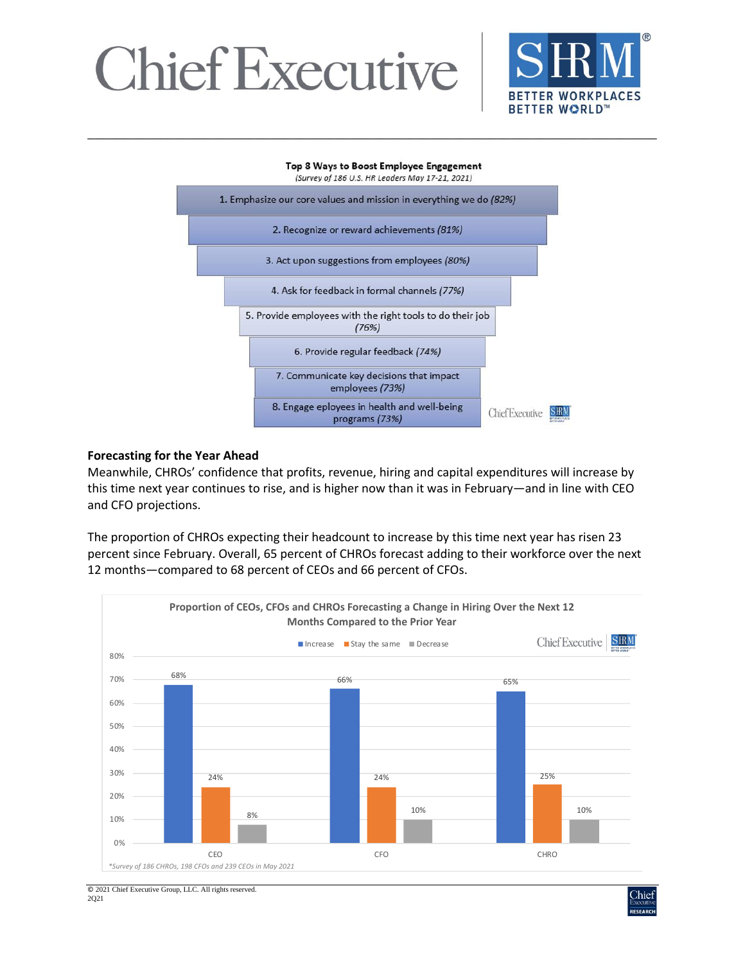

#### Top 8 Ways to Boost Employee Engagement

\_\_\_\_\_\_\_\_\_\_\_\_\_\_\_\_\_\_\_\_\_\_\_\_\_\_\_\_\_\_\_\_\_\_\_\_\_\_\_\_\_\_\_\_\_\_\_\_\_\_\_\_\_\_\_\_\_\_\_\_\_\_\_\_\_\_\_\_\_\_\_\_\_\_\_\_\_\_



#### **Forecasting for the Year Ahead**

Meanwhile, CHROs' confidence that profits, revenue, hiring and capital expenditures will increase by this time next year continues to rise, and is higher now than it was in February—and in line with CEO and CFO projections.

The proportion of CHROs expecting their headcount to increase by this time next year has risen 23 percent since February. Overall, 65 percent of CHROs forecast adding to their workforce over the next 12 months—compared to 68 percent of CEOs and 66 percent of CFOs.



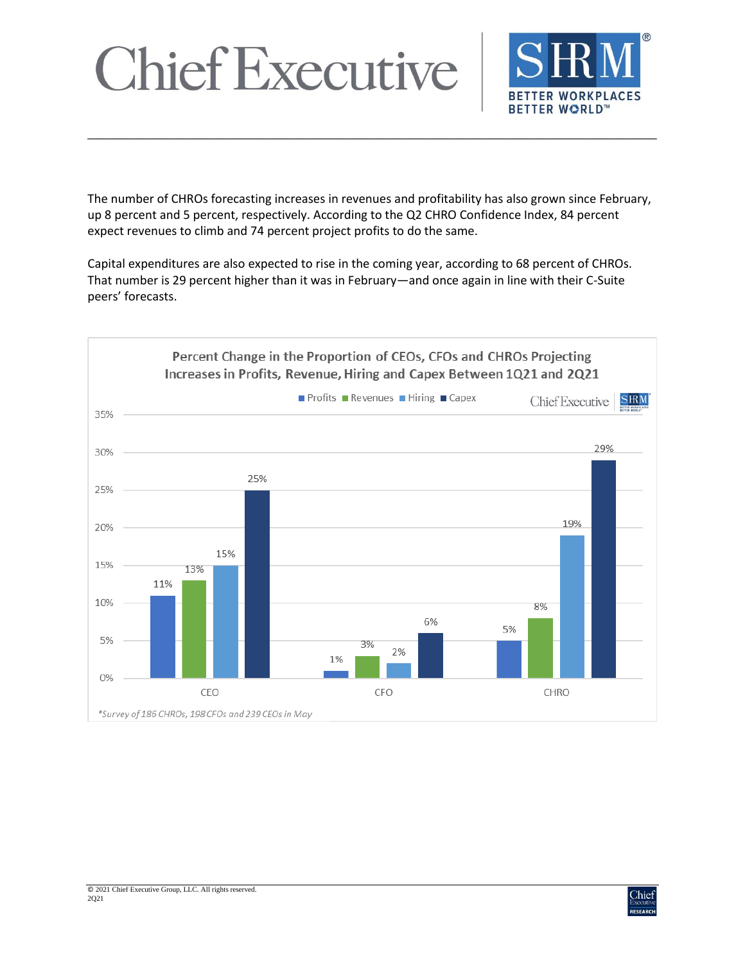

The number of CHROs forecasting increases in revenues and profitability has also grown since February, up 8 percent and 5 percent, respectively. According to the Q2 CHRO Confidence Index, 84 percent expect revenues to climb and 74 percent project profits to do the same.

\_\_\_\_\_\_\_\_\_\_\_\_\_\_\_\_\_\_\_\_\_\_\_\_\_\_\_\_\_\_\_\_\_\_\_\_\_\_\_\_\_\_\_\_\_\_\_\_\_\_\_\_\_\_\_\_\_\_\_\_\_\_\_\_\_\_\_\_\_\_\_\_\_\_\_\_\_\_

Capital expenditures are also expected to rise in the coming year, according to 68 percent of CHROs. That number is 29 percent higher than it was in February—and once again in line with their C-Suite peers' forecasts.



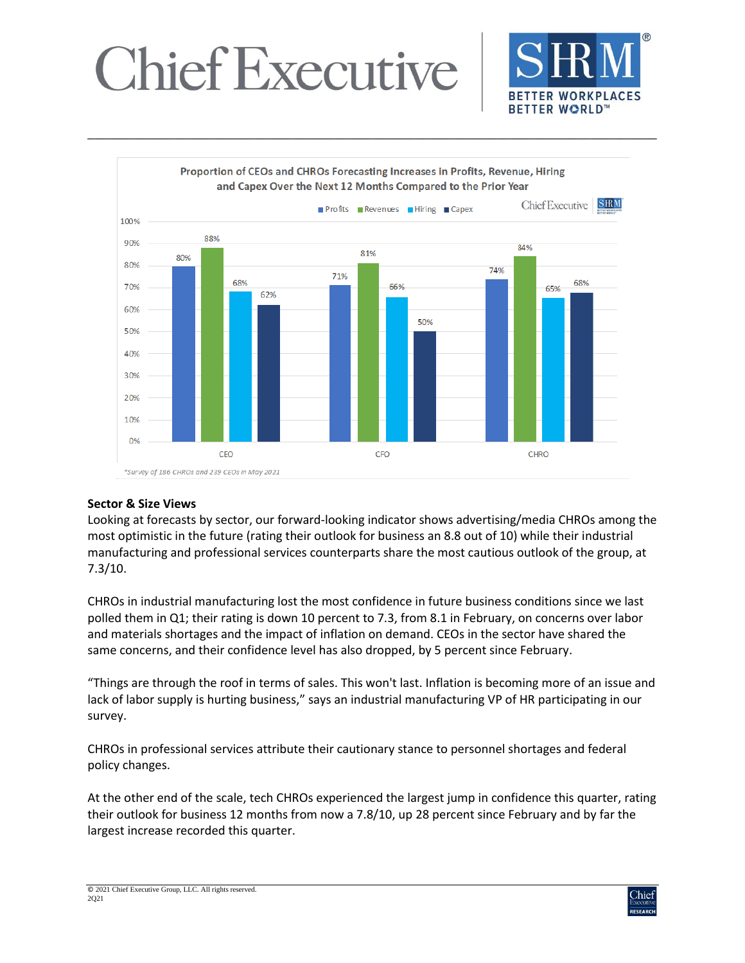



\_\_\_\_\_\_\_\_\_\_\_\_\_\_\_\_\_\_\_\_\_\_\_\_\_\_\_\_\_\_\_\_\_\_\_\_\_\_\_\_\_\_\_\_\_\_\_\_\_\_\_\_\_\_\_\_\_\_\_\_\_\_\_\_\_\_\_\_\_\_\_\_\_\_\_\_\_\_

#### **Sector & Size Views**

Looking at forecasts by sector, our forward-looking indicator shows advertising/media CHROs among the most optimistic in the future (rating their outlook for business an 8.8 out of 10) while their industrial manufacturing and professional services counterparts share the most cautious outlook of the group, at 7.3/10.

CHROs in industrial manufacturing lost the most confidence in future business conditions since we last polled them in Q1; their rating is down 10 percent to 7.3, from 8.1 in February, on concerns over labor and materials shortages and the impact of inflation on demand. CEOs in the sector have shared the same concerns, and their confidence level has also dropped, by 5 percent since February.

"Things are through the roof in terms of sales. This won't last. Inflation is becoming more of an issue and lack of labor supply is hurting business," says an industrial manufacturing VP of HR participating in our survey.

CHROs in professional services attribute their cautionary stance to personnel shortages and federal policy changes.

At the other end of the scale, tech CHROs experienced the largest jump in confidence this quarter, rating their outlook for business 12 months from now a 7.8/10, up 28 percent since February and by far the largest increase recorded this quarter.

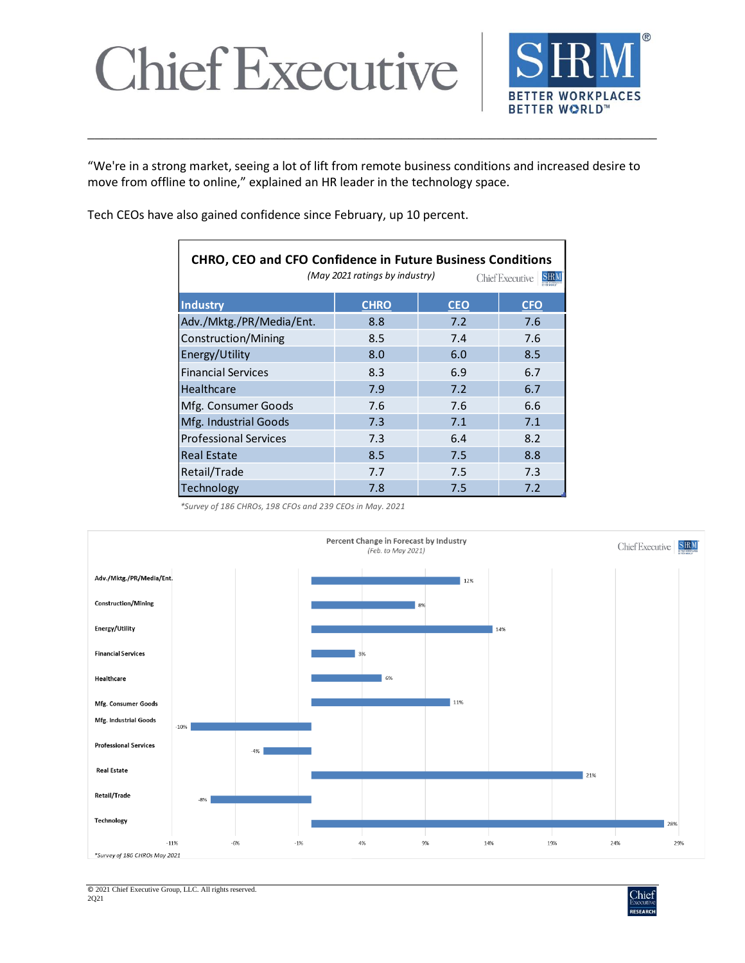

"We're in a strong market, seeing a lot of lift from remote business conditions and increased desire to move from offline to online," explained an HR leader in the technology space.

\_\_\_\_\_\_\_\_\_\_\_\_\_\_\_\_\_\_\_\_\_\_\_\_\_\_\_\_\_\_\_\_\_\_\_\_\_\_\_\_\_\_\_\_\_\_\_\_\_\_\_\_\_\_\_\_\_\_\_\_\_\_\_\_\_\_\_\_\_\_\_\_\_\_\_\_\_\_

Tech CEOs have also gained confidence since February, up 10 percent.

| <b>CHRO, CEO and CFO Confidence in Future Business Conditions</b><br>(May 2021 ratings by industry)<br><b>Chief Executive</b> |             |            |            |  |
|-------------------------------------------------------------------------------------------------------------------------------|-------------|------------|------------|--|
| <b>Industry</b>                                                                                                               | <b>CHRO</b> | <b>CEO</b> | <b>CFO</b> |  |
| Adv./Mktg./PR/Media/Ent.                                                                                                      | 8.8         | 7.2        | 7.6        |  |
| Construction/Mining                                                                                                           | 8.5         | 7.4        | 7.6        |  |
| Energy/Utility                                                                                                                | 8.0         | 6.0        | 8.5        |  |
| <b>Financial Services</b>                                                                                                     | 8.3         | 6.9        | 6.7        |  |
| <b>Healthcare</b>                                                                                                             | 7.9         | 7.2        | 6.7        |  |
| Mfg. Consumer Goods                                                                                                           | 7.6         | 7.6        | 6.6        |  |
| Mfg. Industrial Goods                                                                                                         | 7.3         | 7.1        | 7.1        |  |
| <b>Professional Services</b>                                                                                                  | 7.3         | 6.4        | 8.2        |  |
| <b>Real Estate</b>                                                                                                            | 8.5         | 7.5        | 8.8        |  |
| Retail/Trade                                                                                                                  | 7.7         | 7.5        | 7.3        |  |
| Technology                                                                                                                    | 7.8         | 7.5        | 7.2        |  |

*\*Survey of 186 CHROs, 198 CFOs and 239 CEOs in May. 2021*



© 2021 Chief Executive Group, LLC. All rights reserved. 2Q21